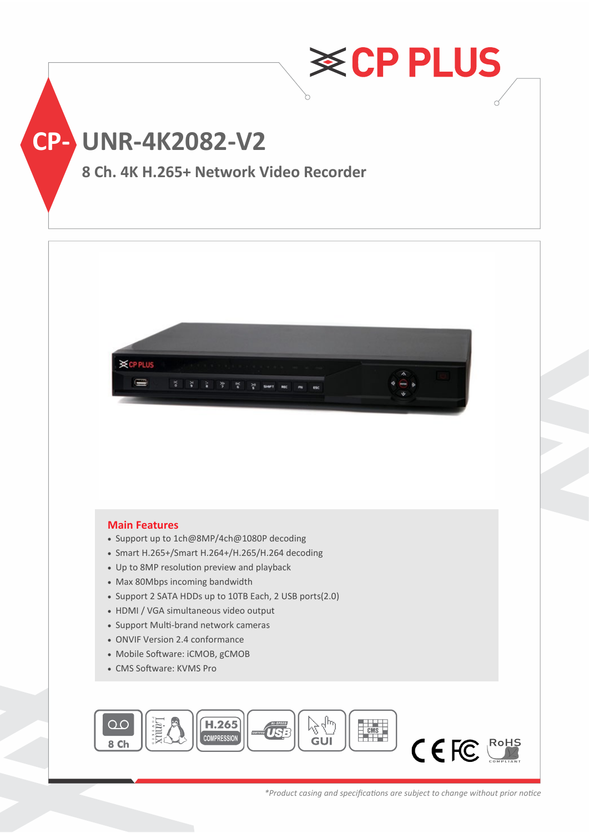



## **Main Features**

- Support up to 1ch@8MP/4ch@1080P decoding
- Smart H.265+/Smart H.264+/H.265/H.264 decoding
- Up to 8MP resolution preview and playback
- Max 80Mbps incoming bandwidth
- Support 2 SATA HDDs up to 10TB Each, 2 USB ports(2.0)
- HDMI / VGA simultaneous video output
- Support Multi-brand network cameras
- ONVIF Version 2.4 conformance
- Mobile Software: iCMOB, gCMOB
- CMS Software: KVMS Pro



*\*Product casing and specifications are subject to change without prior notice*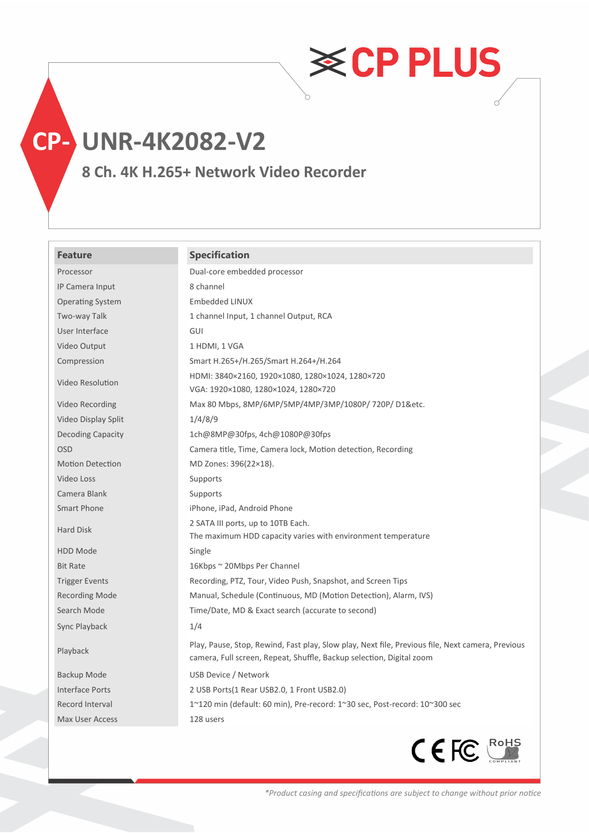**CP- UNR-4K2082-V2**

**8 Ch. 4K H.265+ Network Video Recorder**

## **Feature Specification**

| Processor               | Dual-core embedded processor                                                                                                                                             |
|-------------------------|--------------------------------------------------------------------------------------------------------------------------------------------------------------------------|
| IP Camera Input         | 8 channel                                                                                                                                                                |
| <b>Operating System</b> | <b>Embedded LINUX</b>                                                                                                                                                    |
| Two-way Talk            | 1 channel Input, 1 channel Output, RCA                                                                                                                                   |
| User Interface          | <b>GUI</b>                                                                                                                                                               |
| Video Output            | 1 HDMI, 1 VGA                                                                                                                                                            |
| Compression             | Smart H.265+/H.265/Smart H.264+/H.264                                                                                                                                    |
| Video Resolution        | HDMI: 3840×2160, 1920×1080, 1280×1024, 1280×720<br>VGA: 1920×1080, 1280×1024, 1280×720                                                                                   |
| Video Recording         | Max 80 Mbps, 8MP/6MP/5MP/4MP/3MP/1080P/720P/D1&etc.                                                                                                                      |
| Video Display Split     | 1/4/8/9                                                                                                                                                                  |
| Decoding Capacity       | 1ch@8MP@30fps, 4ch@1080P@30fps                                                                                                                                           |
| <b>OSD</b>              | Camera title, Time, Camera lock, Motion detection, Recording                                                                                                             |
| <b>Motion Detection</b> | MD Zones: 396(22×18).                                                                                                                                                    |
| Video Loss              | Supports                                                                                                                                                                 |
| Camera Blank            | Supports                                                                                                                                                                 |
| Smart Phone             | iPhone, iPad, Android Phone                                                                                                                                              |
| Hard Disk               | 2 SATA III ports, up to 10TB Each.                                                                                                                                       |
|                         | The maximum HDD capacity varies with environment temperature                                                                                                             |
| HDD Mode                | Single                                                                                                                                                                   |
| <b>Bit Rate</b>         | 16Kbps ~ 20Mbps Per Channel                                                                                                                                              |
| <b>Trigger Events</b>   | Recording, PTZ, Tour, Video Push, Snapshot, and Screen Tips                                                                                                              |
| <b>Recording Mode</b>   | Manual, Schedule (Continuous, MD (Motion Detection), Alarm, IVS)                                                                                                         |
| Search Mode             | Time/Date, MD & Exact search (accurate to second)                                                                                                                        |
| Sync Playback           | 1/4                                                                                                                                                                      |
| Playback                | Play, Pause, Stop, Rewind, Fast play, Slow play, Next file, Previous file, Next camera, Previous<br>camera, Full screen, Repeat, Shuffle, Backup selection, Digital zoom |
| Backup Mode             | USB Device / Network                                                                                                                                                     |
| <b>Interface Ports</b>  | 2 USB Ports(1 Rear USB2.0, 1 Front USB2.0)                                                                                                                               |
| Record Interval         | 1~120 min (default: 60 min), Pre-record: 1~30 sec, Post-record: 10~300 sec                                                                                               |
| Max User Access         | 128 users                                                                                                                                                                |



**≋CPPLUS**